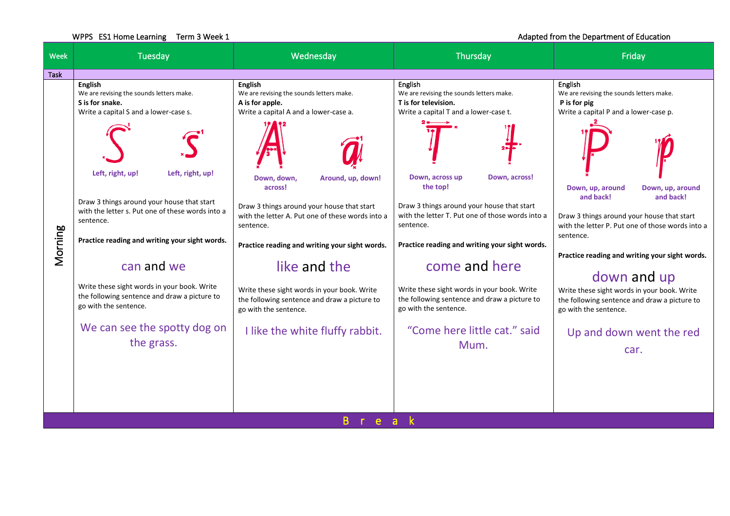## WPPS ES1 Home Learning Term 3 Week 1 and 1 and 1 and 2 and 2 and 2 and 2 and 2 and 2 and 2 and 2 and 2 and 2 and 2 and 2 and 2 and 2 and 2 and 2 and 2 and 2 and 2 and 2 and 2 and 2 and 2 and 2 and 2 and 2 and 2 and 2 and 2

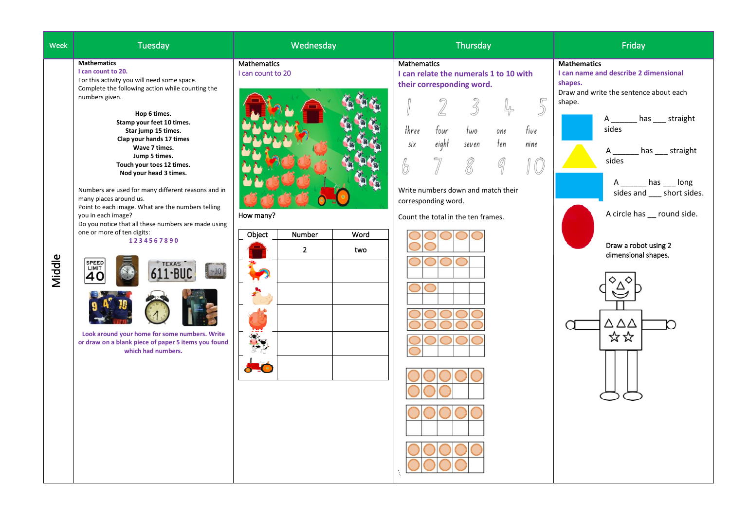| Week   | Tuesday                                                                                                                                                                                                                                                                                                                                                                                                                                                                                                                                                                                                                                                                                                                                                                                                 | Wednesday                                                                                               | Thursday                                                                                                                                                                                                                                                                                                                          | Friday                                                                                                                                                                                                                                                                                                                                                         |
|--------|---------------------------------------------------------------------------------------------------------------------------------------------------------------------------------------------------------------------------------------------------------------------------------------------------------------------------------------------------------------------------------------------------------------------------------------------------------------------------------------------------------------------------------------------------------------------------------------------------------------------------------------------------------------------------------------------------------------------------------------------------------------------------------------------------------|---------------------------------------------------------------------------------------------------------|-----------------------------------------------------------------------------------------------------------------------------------------------------------------------------------------------------------------------------------------------------------------------------------------------------------------------------------|----------------------------------------------------------------------------------------------------------------------------------------------------------------------------------------------------------------------------------------------------------------------------------------------------------------------------------------------------------------|
| Middle | <b>Mathematics</b><br>I can count to 20.<br>For this activity you will need some space.<br>Complete the following action while counting the<br>numbers given.<br>Hop 6 times.<br>Stamp your feet 10 times.<br>Star jump 15 times.<br>Clap your hands 17 times<br>Wave 7 times.<br>Jump 5 times.<br>Touch your toes 12 times.<br>Nod your head 3 times.<br>Numbers are used for many different reasons and in<br>many places around us.<br>Point to each image. What are the numbers telling<br>you in each image?<br>Do you notice that all these numbers are made using<br>one or more of ten digits:<br>1234567890<br><b>SPEED</b><br><b>TEXAS</b><br>LIMIT<br>10<br>40<br>Look around your home for some numbers. Write<br>or draw on a blank piece of paper 5 items you found<br>which had numbers. | Mathematics<br>I can count to 20<br>How many?<br>Object<br>Number<br>Word<br>$\overline{2}$<br>two<br>÷ | <b>Mathematics</b><br>I can relate the numerals 1 to 10 with<br>their corresponding word.<br>$\mathcal{Z}$<br>4<br>IJ<br>three<br>four<br>five<br>two<br>one<br>eight<br>ten<br>six<br>nine<br>seven<br>$\mathbb{Q}$<br>8<br>6<br>Write numbers down and match their<br>corresponding word.<br>Count the total in the ten frames. | <b>Mathematics</b><br>I can name and describe 2 dimensional<br>shapes.<br>Draw and write the sentence about each<br>shape.<br>has __ straight<br>A<br>sides<br>has ___ straight<br>A<br>sides<br>has ___ long<br>sides and ___ short sides.<br>A circle has __ round side.<br>Draw a robot using 2<br>dimensional shapes.<br>$\Delta \Delta \Delta$<br>O<br>☆☆ |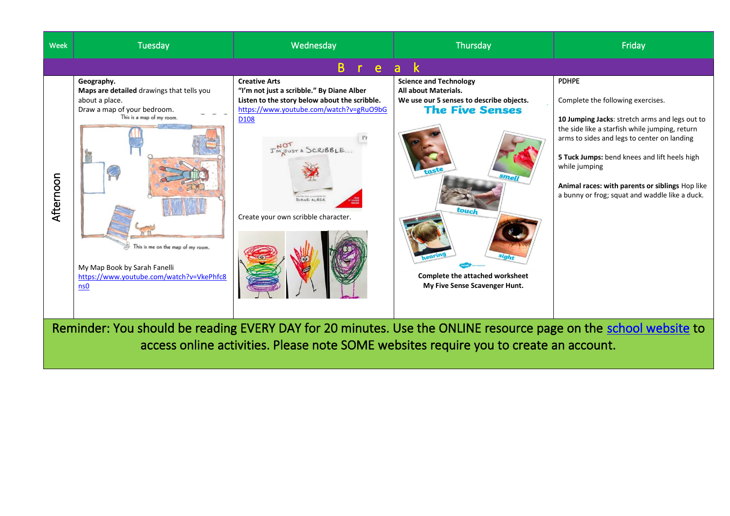

access online activities. Please note SOME websites require you to create an account.